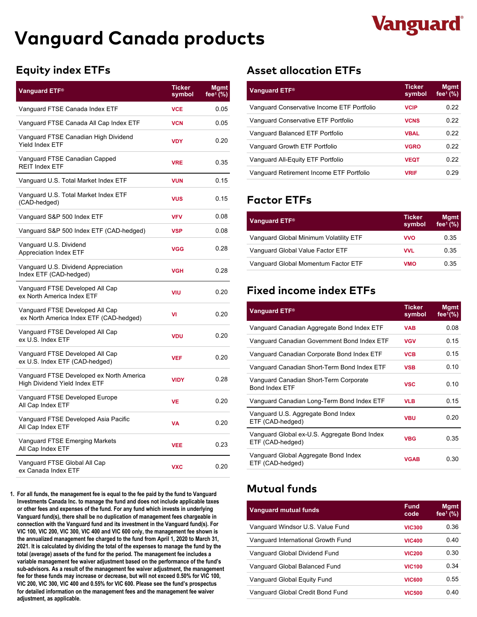# **Vanguard Canada products**

# **Vanguard**

| <b>Vanguard ETF®</b>                                                             | <b>Ticker</b><br>symbol | <b>Mgmt</b><br>fee <sup>1</sup> (%) |
|----------------------------------------------------------------------------------|-------------------------|-------------------------------------|
| Vanguard FTSE Canada Index ETF                                                   | <b>VCE</b>              | 0.05                                |
| Vanguard FTSE Canada All Cap Index ETF                                           | <b>VCN</b>              | 0.05                                |
| Vanguard FTSE Canadian High Dividend<br><b>Yield Index ETF</b>                   | <b>VDY</b>              | 0.20                                |
| Vanguard FTSE Canadian Capped<br><b>REIT Index ETF</b>                           | <b>VRE</b>              | 0.35                                |
| Vanguard U.S. Total Market Index ETF                                             | <b>VUN</b>              | 0.15                                |
| Vanguard U.S. Total Market Index ETF<br>(CAD-hedged)                             | <b>VUS</b>              | 0.15                                |
| Vanguard S&P 500 Index ETF                                                       | <b>VFV</b>              | 0.08                                |
| Vanguard S&P 500 Index ETF (CAD-hedged)                                          | <b>VSP</b>              | 0.08                                |
| Vanguard U.S. Dividend<br><b>Appreciation Index ETF</b>                          | <b>VGG</b>              | 0.28                                |
| Vanguard U.S. Dividend Appreciation<br>Index ETF (CAD-hedged)                    | <b>VGH</b>              | 0.28                                |
| Vanguard FTSE Developed All Cap<br>ex North America Index ETF                    | VIU                     | 0.20                                |
| Vanguard FTSE Developed All Cap<br>ex North America Index ETF (CAD-hedged)       | VI                      | 0.20                                |
| Vanguard FTSE Developed All Cap<br>ex U.S. Index ETF                             | <b>VDU</b>              | 0.20                                |
| Vanguard FTSE Developed All Cap<br>ex U.S. Index ETF (CAD-hedged)                | <b>VEF</b>              | 0.20                                |
| Vanguard FTSE Developed ex North America<br><b>High Dividend Yield Index ETF</b> | <b>VIDY</b>             | 0.28                                |
| Vanguard FTSE Developed Europe<br>All Cap Index ETF                              | <b>VE</b>               | 0.20                                |
| Vanguard FTSE Developed Asia Pacific<br>All Cap Index ETF                        | <b>VA</b>               | 0.20                                |
| Vanguard FTSE Emerging Markets<br>All Cap Index ETF                              | <b>VEE</b>              | 0.23                                |
| Vanguard FTSE Global All Cap<br>ex Canada Index ETF                              | <b>VXC</b>              | 0.20                                |

**Mutual funds 1. For all funds, the management fee is equal to the fee paid by the fund to Vanguard Investments Canada Inc. to manage the fund and does not include applicable taxes or other fees and expenses of the fund. For any fund which invests in underlying Vanguard fund(s), there shall be no duplication of management fees chargeable in connection with the Vanguard fund and its investment in the Vanguard fund(s). For VIC 100, VIC 200, VIC 300, VIC 400 and VIC 600 only, the management fee shown is the annualized management fee charged to the fund from April 1, 2020 to March 31, 2021. It is calculated by dividing the total of the expenses to manage the fund by the total (average) assets of the fund for the period. The management fee includes a variable management fee waiver adjustment based on the performance of the fund's sub-advisors. As a result of the management fee waiver adjustment, the management fee for these funds may increase or decrease, but will not exceed 0.50% for VIC 100, VIC 200, VIC 300, VIC 400 and 0.55% for VIC 600. Please see the fund's prospectus for detailed information on the management fees and the management fee waiver adjustment, as applicable.**

## **Equity index ETFs Asset allocation ETFs**

| Vanguard ETF®                              | <b>Ticker</b><br>symbol | <b>Mgmt</b><br>fee $(% )$ |
|--------------------------------------------|-------------------------|---------------------------|
| Vanguard Conservative Income ETF Portfolio | <b>VCIP</b>             | 0.22                      |
| Vanguard Conservative ETF Portfolio        | <b>VCNS</b>             | 0.22                      |
| Vanguard Balanced ETF Portfolio            | <b>VBAL</b>             | 0.22                      |
| Vanguard Growth ETF Portfolio              | <b>VGRO</b>             | 0.22                      |
| Vanguard All-Equity ETF Portfolio          | <b>VEQT</b>             | 0.22                      |
| Vanguard Retirement Income ETF Portfolio   | <b>VRIF</b>             | 0.29                      |

## **Factor ETFs**

| Vanguard ETF <sup>®</sup>              | Ticker<br>symbol | <b>Mgmt</b><br>fee $(% )$ |
|----------------------------------------|------------------|---------------------------|
| Vanguard Global Minimum Volatility ETF | <b>VVO</b>       | 0.35                      |
| Vanguard Global Value Factor ETF       | VVL              | 0.35                      |
| Vanquard Global Momentum Factor ETF    | <b>VMO</b>       | 0.35                      |

# **Fixed income index ETFs**

| Vanguard ETF <sup>®</sup>                                        | <b>Ticker</b><br>symbol | <b>Mgmt</b><br>fee $(%$ |
|------------------------------------------------------------------|-------------------------|-------------------------|
| Vanguard Canadian Aggregate Bond Index ETF                       | <b>VAB</b>              | 0.08                    |
| Vanguard Canadian Government Bond Index ETF                      | <b>VGV</b>              | 0.15                    |
| Vanguard Canadian Corporate Bond Index ETF                       | <b>VCB</b>              | 0.15                    |
| Vanguard Canadian Short-Term Bond Index ETF                      | <b>VSB</b>              | 0.10                    |
| Vanguard Canadian Short-Term Corporate<br>Bond Index ETF         | <b>VSC</b>              | 0.10                    |
| Vanguard Canadian Long-Term Bond Index ETF                       | <b>VLB</b>              | 0.15                    |
| Vanguard U.S. Aggregate Bond Index<br>ETF (CAD-hedged)           | <b>VBU</b>              | 0.20                    |
| Vanguard Global ex-U.S. Aggregate Bond Index<br>ETF (CAD-hedged) | <b>VBG</b>              | 0.35                    |
| Vanguard Global Aggregate Bond Index<br>ETF (CAD-hedged)         | <b>VGAB</b>             | 0.30                    |

| <b>Vanguard mutual funds</b>       | <b>Fund</b><br>code | <b>Mgmt</b><br>fee $(% )$ |
|------------------------------------|---------------------|---------------------------|
| Vanguard Windsor U.S. Value Fund   | <b>VIC300</b>       | 0.36                      |
| Vanguard International Growth Fund | <b>VIC400</b>       | 0.40                      |
| Vanquard Global Dividend Fund      | <b>VIC200</b>       | 0.30                      |
| Vanguard Global Balanced Fund      | <b>VIC100</b>       | 0.34                      |
| Vanguard Global Equity Fund        | <b>VIC600</b>       | 0.55                      |
| Vanguard Global Credit Bond Fund   | <b>VIC500</b>       | 0.40                      |